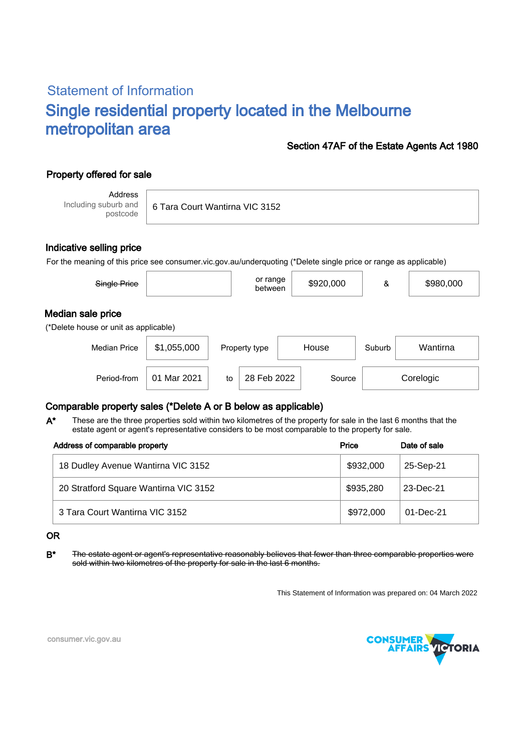# Statement of Information Single residential property located in the Melbourne metropolitan area

### Section 47AF of the Estate Agents Act 1980

## Property offered for sale

Address Including suburb and postcode

6 Tara Court Wantirna VIC 3152

#### Indicative selling price

For the meaning of this price see consumer.vic.gov.au/underquoting (\*Delete single price or range as applicable)

| Single Price                                               |             | or range<br>between | \$920,000 | &      | \$980,000 |  |  |  |  |  |
|------------------------------------------------------------|-------------|---------------------|-----------|--------|-----------|--|--|--|--|--|
| Median sale price<br>(*Delete house or unit as applicable) |             |                     |           |        |           |  |  |  |  |  |
| <b>Median Price</b>                                        | \$1,055,000 | Property type       | House     | Suburb | Wantirna  |  |  |  |  |  |
|                                                            |             |                     |           |        |           |  |  |  |  |  |

28 Feb 2022 Source Corelogic

### Comparable property sales (\*Delete A or B below as applicable)

These are the three properties sold within two kilometres of the property for sale in the last 6 months that the estate agent or agent's representative considers to be most comparable to the property for sale. A\*

Period-from to Source

| Address of comparable property        | Price     | Date of sale |  |
|---------------------------------------|-----------|--------------|--|
| 18 Dudley Avenue Wantirna VIC 3152    | \$932,000 | 25-Sep-21    |  |
| 20 Stratford Square Wantirna VIC 3152 | \$935,280 | 23-Dec-21    |  |
| 3 Tara Court Wantirna VIC 3152        | \$972,000 | 01-Dec-21    |  |

#### OR

B<sup>\*</sup> The estate agent or agent's representative reasonably believes that fewer than three comparable properties were sold within two kilometres of the property for sale in the last 6 months.

This Statement of Information was prepared on: 04 March 2022



consumer.vic.gov.au